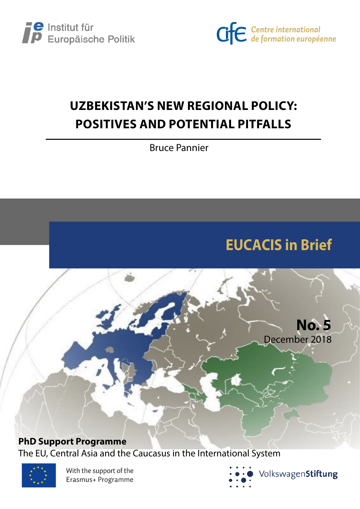



## **UZBEKISTAN'S NEW REGIONAL POLICY: POSITIVES AND POTENTIAL PITFALLS**

Bruce Pannier

# **EUCACIS in Brief**

**No. 5**

December 2018

**PhD Support Programme**

The EU, Central Asia and the Caucasus in the International System



With the support of the Erasmus+ Programme

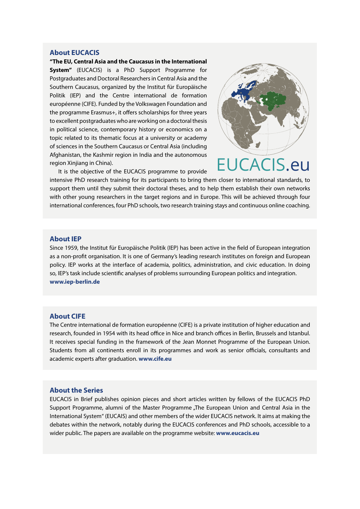#### **About EUCACIS**

**"The EU, Central Asia and the Caucasus in the International System"** (EUCACIS) is a PhD Support Programme for Postgraduates and Doctoral Researchers in Central Asia and the Southern Caucasus, organized by the Institut für Europäische Politik (IEP) and the Centre international de formation européenne (CIFE). Funded by the Volkswagen Foundation and the programme Erasmus+, it offers scholarships for three years to excellent postgraduates who are working on a doctoral thesis in political science, contemporary history or economics on a topic related to its thematic focus at a university or academy of sciences in the Southern Caucasus or Central Asia (including Afghanistan, the Kashmir region in India and the autonomous region Xinjiang in China).



It is the objective of the EUCACIS programme to provide

intensive PhD research training for its participants to bring them closer to international standards, to support them until they submit their doctoral theses, and to help them establish their own networks with other young researchers in the target regions and in Europe. This will be achieved through four international conferences, four PhD schools, two research training stays and continuous online coaching.

#### **About IEP**

Since 1959, the Institut für Europäische Politik (IEP) has been active in the field of European integration as a non-profit organisation. It is one of Germany's leading research institutes on foreign and European policy. IEP works at the interface of academia, politics, administration, and civic education. In doing so, IEP's task include scientific analyses of problems surrounding European politics and integration. **www.iep-berlin.de**

#### **About CIFE**

The Centre international de formation européenne (CIFE) is a private institution of higher education and research, founded in 1954 with its head office in Nice and branch offices in Berlin, Brussels and Istanbul. It receives special funding in the framework of the Jean Monnet Programme of the European Union. Students from all continents enroll in its programmes and work as senior officials, consultants and academic experts after graduation. **www.cife.eu**

#### **About the Series**

EUCACIS in Brief publishes opinion pieces and short articles written by fellows of the EUCACIS PhD Support Programme, alumni of the Master Programme "The European Union and Central Asia in the International System" (EUCAIS) and other members of the wider EUCACIS network. It aims at making the debates within the network, notably during the EUCACIS conferences and PhD schools, accessible to a wider public. The papers are available on the programme website: **www.eucacis.eu**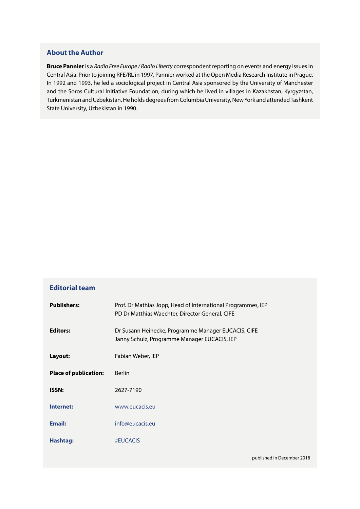## **About the Author**

**Bruce Pannier** is a *Radio Free Europe / Radio Liberty* correspondent reporting on events and energy issues in Central Asia. Prior to joining RFE/RL in 1997, Pannier worked at the Open Media Research Institute in Prague. In 1992 and 1993, he led a sociological project in Central Asia sponsored by the University of Manchester and the Soros Cultural Initiative Foundation, during which he lived in villages in Kazakhstan, Kyrgyzstan, Turkmenistan and Uzbekistan. He holds degrees from Columbia University, New York and attended Tashkent State University, Uzbekistan in 1990.

| <b>Editorial team</b>        |                                                                                                                 |
|------------------------------|-----------------------------------------------------------------------------------------------------------------|
| <b>Publishers:</b>           | Prof. Dr Mathias Jopp, Head of International Programmes, IEP<br>PD Dr Matthias Waechter, Director General, CIFE |
| <b>Editors:</b>              | Dr Susann Heinecke, Programme Manager EUCACIS, CIFE<br>Janny Schulz, Programme Manager EUCACIS, IEP             |
| Layout:                      | Fabian Weber, IEP                                                                                               |
| <b>Place of publication:</b> | <b>Berlin</b>                                                                                                   |
| <b>ISSN:</b>                 | 2627-7190                                                                                                       |
| Internet:                    | www.eucacis.eu                                                                                                  |
| <b>Email:</b>                | info@eucacis.eu                                                                                                 |
| Hashtag:                     | #EUCACIS                                                                                                        |
|                              | published in December 2018                                                                                      |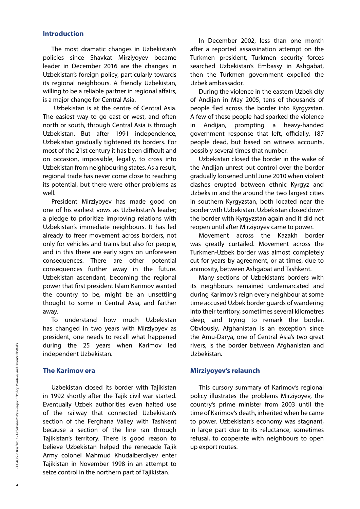## **Introduction**

The most dramatic changes in Uzbekistan's policies since Shavkat Mirziyoyev became leader in December 2016 are the changes in Uzbekistan's foreign policy, particularly towards its regional neighbours. A friendly Uzbekistan, willing to be a reliable partner in regional affairs, is a major change for Central Asia.

 Uzbekistan is at the centre of Central Asia. The easiest way to go east or west, and often north or south, through Central Asia is through Uzbekistan. But after 1991 independence, Uzbekistan gradually tightened its borders. For most of the 21st century it has been difficult and on occasion, impossible, legally, to cross into Uzbekistan from neighbouring states. As a result, regional trade has never come close to reaching its potential, but there were other problems as well.

President Mirziyoyev has made good on one of his earliest vows as Uzbekistan's leader; a pledge to prioritize improving relations with Uzbekistan's immediate neighbours. It has led already to freer movement across borders, not only for vehicles and trains but also for people, and in this there are early signs on unforeseen consequences. There are other potential consequences further away in the future. Uzbekistan ascendant, becoming the regional power that first president Islam Karimov wanted the country to be, might be an unsettling thought to some in Central Asia, and farther away.

To understand how much Uzbekistan has changed in two years with Mirziyoyev as president, one needs to recall what happened during the 25 years when Karimov led independent Uzbekistan.

## **The Karimov era**

Uzbekistan closed its border with Tajikistan in 1992 shortly after the Tajik civil war started. Eventually Uzbek authorities even halted use of the railway that connected Uzbekistan's section of the Ferghana Valley with Tashkent because a section of the line ran through Tajikistan's territory. There is good reason to believe Uzbekistan helped the renegade Tajik Army colonel Mahmud Khudaiberdiyev enter Tajikistan in November 1998 in an attempt to seize control in the northern part of Tajikistan.

In December 2002, less than one month after a reported assassination attempt on the Turkmen president, Turkmen security forces searched Uzbekistan's Embassy in Ashgabat, then the Turkmen government expelled the Uzbek ambassador.

During the violence in the eastern Uzbek city of Andijan in May 2005, tens of thousands of people fled across the border into Kyrgyzstan. A few of these people had sparked the violence in Andijan, prompting a heavy-handed government response that left, officially, 187 people dead, but based on witness accounts, possibly several times that number.

Uzbekistan closed the border in the wake of the Andijan unrest but control over the border gradually loosened until June 2010 when violent clashes erupted between ethnic Kyrgyz and Uzbeks in and the around the two largest cities in southern Kyrgyzstan, both located near the border with Uzbekistan. Uzbekistan closed down the border with Kyrgyzstan again and it did not reopen until after Mirziyoyev came to power.

Movement across the Kazakh border was greatly curtailed. Movement across the Turkmen-Uzbek border was almost completely cut for years by agreement, or at times, due to animosity, between Ashgabat and Tashkent.

Many sections of Uzbekistan's borders with its neighbours remained undemarcated and during Karimov's reign every neighbour at some time accused Uzbek border guards of wandering into their territory, sometimes several kilometres deep, and trying to remark the border. Obviously, Afghanistan is an exception since the Amu-Darya, one of Central Asia's two great rivers, is the border between Afghanistan and Uzbekistan.

## **Mirziyoyev's relaunch**

This cursory summary of Karimov's regional policy illustrates the problems Mirziyoyev, the country's prime minister from 2003 until the time of Karimov's death, inherited when he came to power. Uzbekistan's economy was stagnant, in large part due to its reluctance, sometimes refusal, to cooperate with neighbours to open up export routes.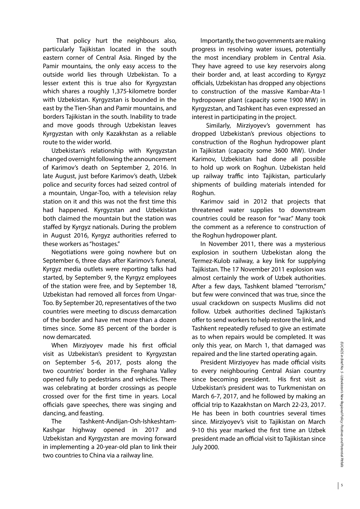That policy hurt the neighbours also, particularly Tajikistan located in the south eastern corner of Central Asia. Ringed by the Pamir mountains, the only easy access to the outside world lies through Uzbekistan. To a lesser extent this is true also for Kyrgyzstan which shares a roughly 1,375-kilometre border with Uzbekistan. Kyrgyzstan is bounded in the east by the Tien-Shan and Pamir mountains, and borders Tajikistan in the south. Inability to trade and move goods through Uzbekistan leaves Kyrgyzstan with only Kazakhstan as a reliable route to the wider world.

Uzbekistan's relationship with Kyrgyzstan changed overnight following the announcement of Karimov's death on September 2, 2016. In late August, just before Karimov's death, Uzbek police and security forces had seized control of a mountain, Ungar-Too, with a television relay station on it and this was not the first time this had happened. Kyrgyzstan and Uzbekistan both claimed the mountain but the station was staffed by Kyrgyz nationals. During the problem in August 2016, Kyrgyz authorities referred to these workers as "hostages."

Negotiations were going nowhere but on September 6, three days after Karimov's funeral, Kyrgyz media outlets were reporting talks had started, by September 9, the Kyrgyz employees of the station were free, and by September 18, Uzbekistan had removed all forces from Ungar-Too. By September 20, representatives of the two countries were meeting to discuss demarcation of the border and have met more than a dozen times since. Some 85 percent of the border is now demarcated.

When Mirziyoyev made his first official visit as Uzbekistan's president to Kyrgyzstan on September 5-6, 2017, posts along the two countries' border in the Ferghana Valley opened fully to pedestrians and vehicles. There was celebrating at border crossings as people crossed over for the first time in years. Local officials gave speeches, there was singing and dancing, and feasting.

The Tashkent-Andijan-Osh-Ishkeshtam-Kashgar highway opened in 2017 and Uzbekistan and Kyrgyzstan are moving forward in implementing a 20-year-old plan to link their two countries to China via a railway line.

Importantly, the two governments are making progress in resolving water issues, potentially the most incendiary problem in Central Asia. They have agreed to use key reservoirs along their border and, at least according to Kyrgyz officials, Uzbekistan has dropped any objections to construction of the massive Kambar-Ata-1 hydropower plant (capacity some 1900 MW) in Kyrgyzstan, and Tashkent has even expressed an interest in participating in the project.

 Similarly, Mirziyoyev's government has dropped Uzbekistan's previous objections to construction of the Roghun hydropower plant in Tajikistan (capacity some 3600 MW). Under Karimov, Uzbekistan had done all possible to hold up work on Roghun. Uzbekistan held up railway traffic into Tajikistan, particularly shipments of building materials intended for Roghun.

Karimov said in 2012 that projects that threatened water supplies to downstream countries could be reason for "war." Many took the comment as a reference to construction of the Roghun hydropower plant.

In November 2011, there was a mysterious explosion in southern Uzbekistan along the Termez-Kulob railway, a key link for supplying Tajikistan. The 17 November 2011 explosion was almost certainly the work of Uzbek authorities. After a few days, Tashkent blamed "terrorism," but few were convinced that was true, since the usual crackdown on suspects Muslims did not follow. Uzbek authorities declined Tajikistan's offer to send workers to help restore the link, and Tashkent repeatedly refused to give an estimate as to when repairs would be completed. It was only this year, on March 1, that damaged was repaired and the line started operating again.

President Mirziyoyev has made official visits to every neighbouring Central Asian country since becoming president. His first visit as Uzbekistan's president was to Turkmenistan on March 6-7, 2017, and he followed by making an official trip to Kazakhstan on March 22-23, 2017. He has been in both countries several times since. Mirziyoyev's visit to Tajikistan on March 9-10 this year marked the first time an Uzbek president made an official visit to Tajikistan since July 2000.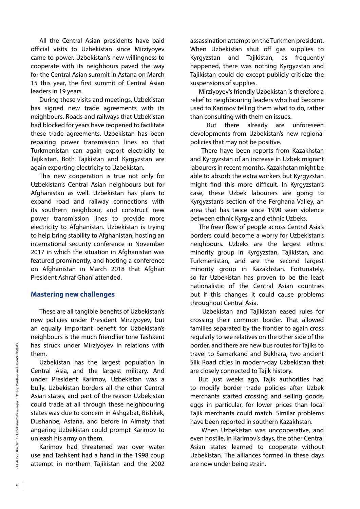All the Central Asian presidents have paid official visits to Uzbekistan since Mirziyoyev came to power. Uzbekistan's new willingness to cooperate with its neighbours paved the way for the Central Asian summit in Astana on March 15 this year, the first summit of Central Asian leaders in 19 years.

During these visits and meetings, Uzbekistan has signed new trade agreements with its neighbours. Roads and railways that Uzbekistan had blocked for years have reopened to facilitate these trade agreements. Uzbekistan has been repairing power transmission lines so that Turkmenistan can again export electricity to Tajikistan. Both Tajikistan and Kyrgyzstan are again exporting electricity to Uzbekistan.

This new cooperation is true not only for Uzbekistan's Central Asian neighbours but for Afghanistan as well. Uzbekistan has plans to expand road and railway connections with its southern neighbour, and construct new power transmission lines to provide more electricity to Afghanistan. Uzbekistan is trying to help bring stability to Afghanistan, hosting an international security conference in November 2017 in which the situation in Afghanistan was featured prominently, and hosting a conference on Afghanistan in March 2018 that Afghan President Ashraf Ghani attended.

### **Mastering new challenges**

These are all tangible benefits of Uzbekistan's new policies under President Mirziyoyev, but an equally important benefit for Uzbekistan's neighbours is the much friendlier tone Tashkent has struck under Mirziyoyev in relations with them.

Uzbekistan has the largest population in Central Asia, and the largest military. And under President Karimov, Uzbekistan was a bully. Uzbekistan borders all the other Central Asian states, and part of the reason Uzbekistan could trade at all through these neighbouring states was due to concern in Ashgabat, Bishkek, Dushanbe, Astana, and before in Almaty that angering Uzbekistan could prompt Karimov to unleash his army on them.

Karimov had threatened war over water use and Tashkent had a hand in the 1998 coup attempt in northern Tajikistan and the 2002 assassination attempt on the Turkmen president. When Uzbekistan shut off gas supplies to Kyrgyzstan and Tajikistan, as frequently happened, there was nothing Kyrgyzstan and Tajikistan could do except publicly criticize the suspensions of supplies.

Mirziyoyev's friendly Uzbekistan is therefore a relief to neighbouring leaders who had become used to Karimov telling them what to do, rather than consulting with them on issues.

 But there already are unforeseen developments from Uzbekistan's new regional policies that may not be positive.

 There have been reports from Kazakhstan and Kyrgyzstan of an increase in Uzbek migrant labourers in recent months. Kazakhstan might be able to absorb the extra workers but Kyrgyzstan might find this more difficult. In Kyrgyzstan's case, these Uzbek labourers are going to Kyrgyzstan's section of the Ferghana Valley, an area that has twice since 1990 seen violence between ethnic Kyrgyz and ethnic Uzbeks.

The freer flow of people across Central Asia's borders could become a worry for Uzbekistan's neighbours. Uzbeks are the largest ethnic minority group in Kyrgyzstan, Tajikistan, and Turkmenistan, and are the second largest minority group in Kazakhstan. Fortunately, so far Uzbekistan has proven to be the least nationalistic of the Central Asian countries but if this changes it could cause problems throughout Central Asia.

 Uzbekistan and Tajikistan eased rules for crossing their common border. That allowed families separated by the frontier to again cross regularly to see relatives on the other side of the border, and there are new bus routes for Tajiks to travel to Samarkand and Bukhara, two ancient Silk Road cities in modern-day Uzbekistan that are closely connected to Tajik history.

But just weeks ago, Tajik authorities had to modify border trade policies after Uzbek merchants started crossing and selling goods, eggs in particular, for lower prices than local Tajik merchants could match. Similar problems have been reported in southern Kazakhstan.

 When Uzbekistan was uncooperative, and even hostile, in Karimov's days, the other Central Asian states learned to cooperate without Uzbekistan. The alliances formed in these days are now under being strain.